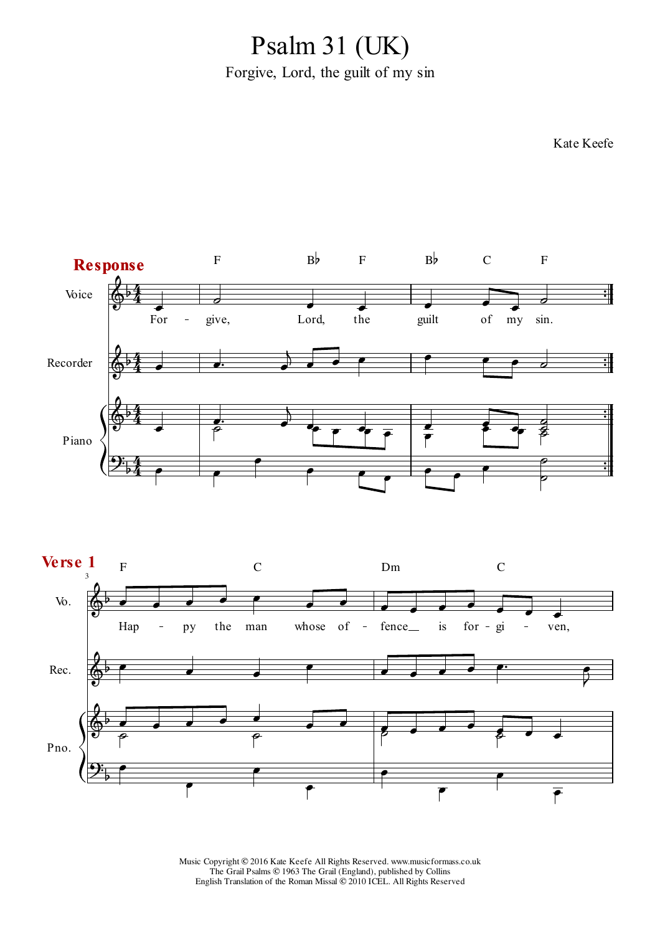Forgive, Lord, the guilt of my sin Psalm 31 (UK)



 $\overline{r}$ 

 $\overline{\mathbf{f}}$ 

 $\overline{\mathbf{f}}$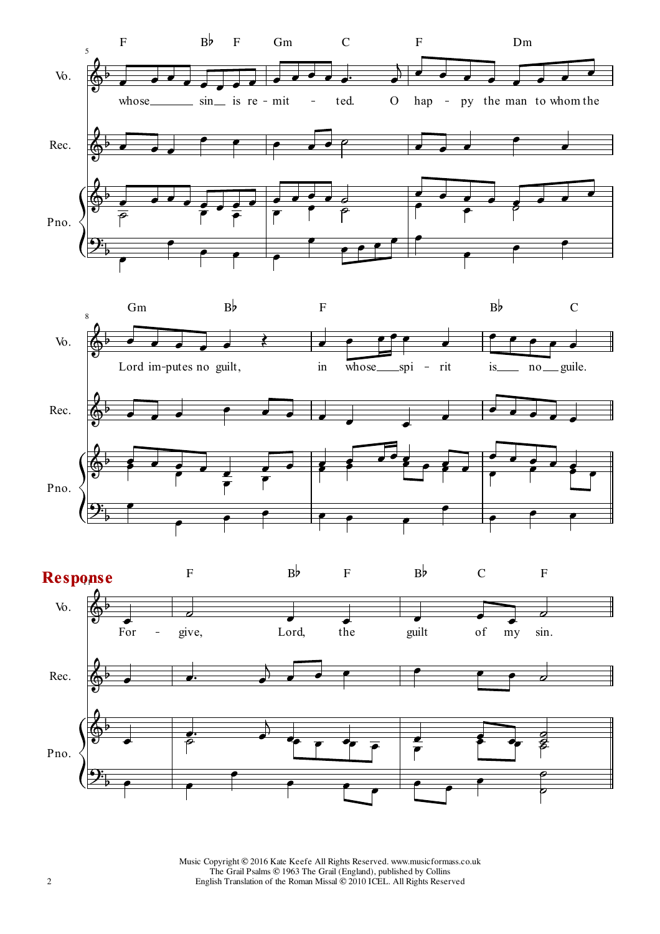



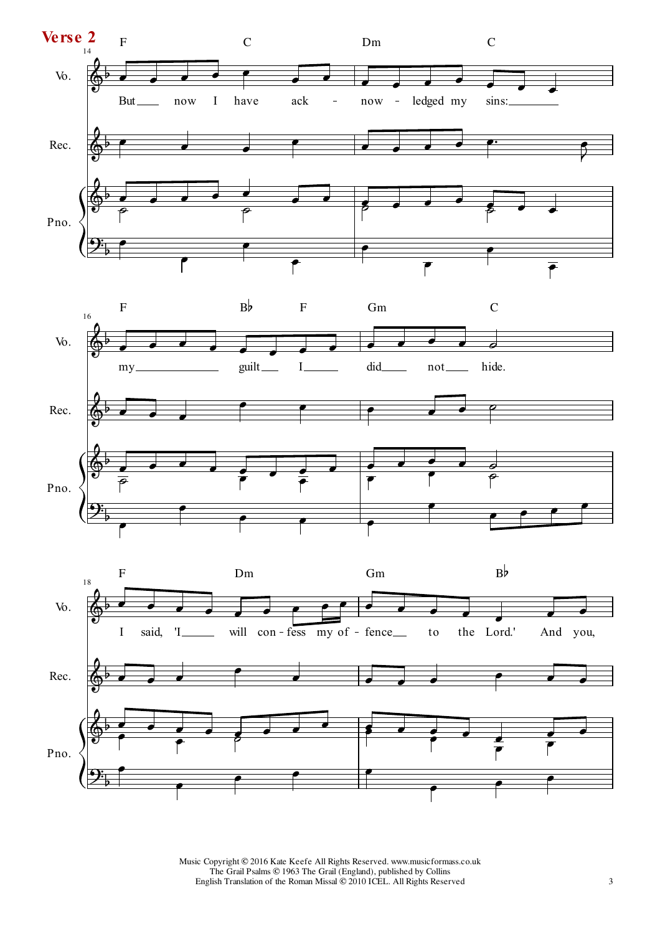



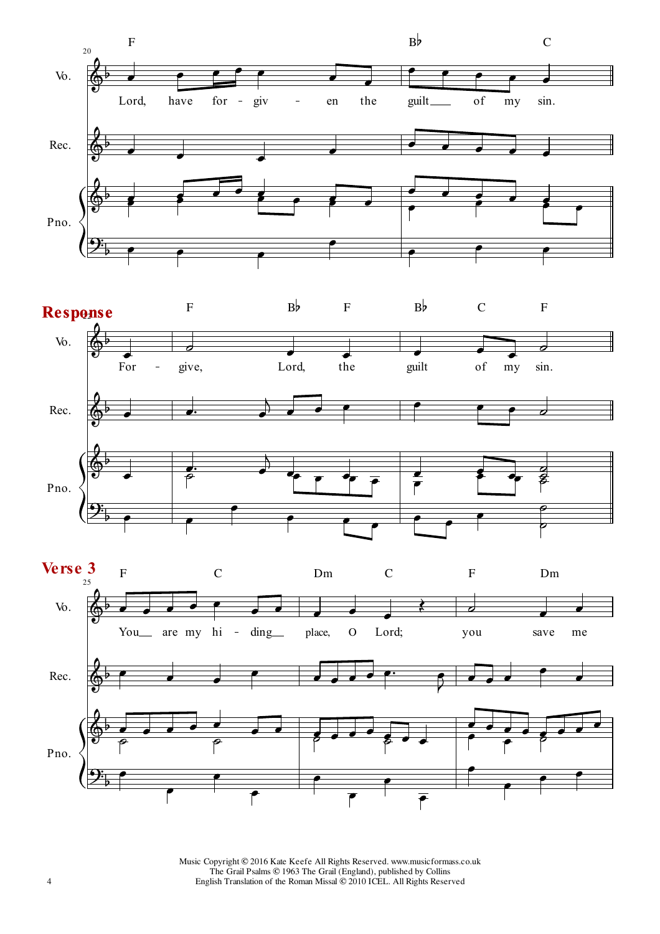



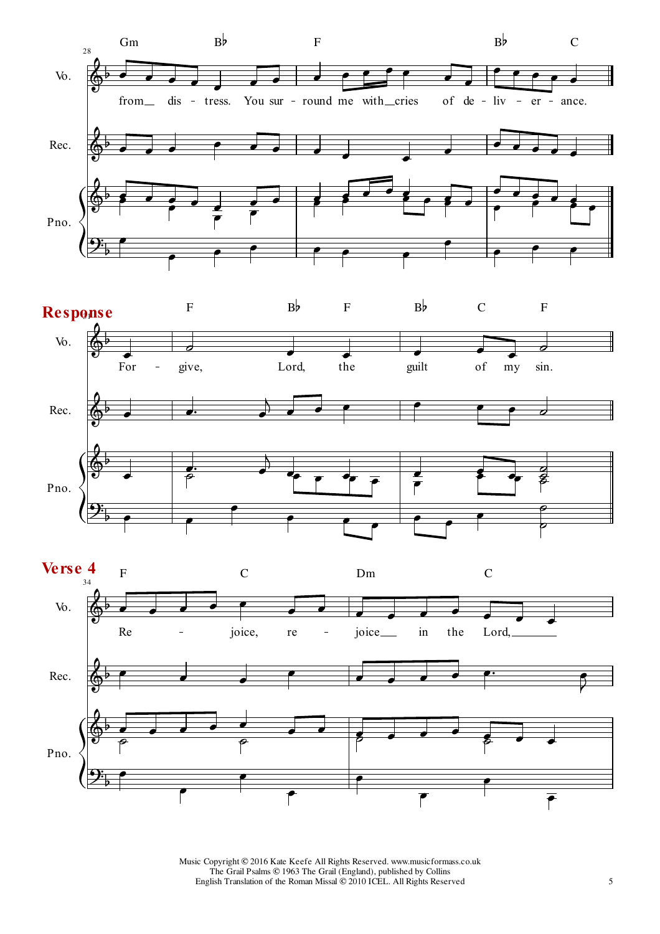